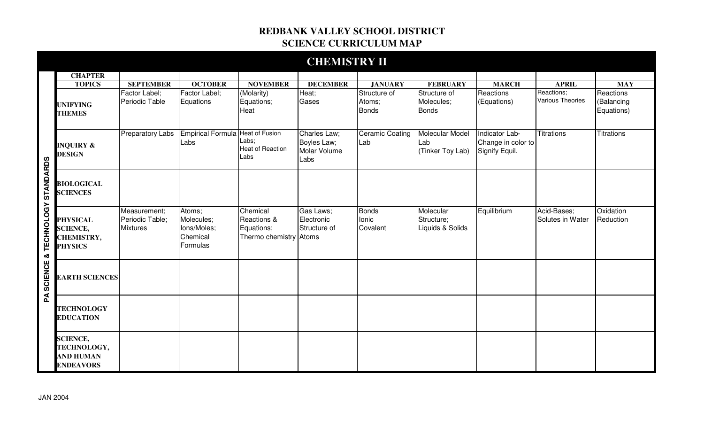## **REDBANK VALLEY SCHOOL DISTRICT SCIENCE CURRICULUM MAP**

|                                          |                                                                        |                                                    |                                                             |                                                                 | <b>CHEMISTRY II</b>                                 |                                        |                                             |                                                        |                                       |                                       |
|------------------------------------------|------------------------------------------------------------------------|----------------------------------------------------|-------------------------------------------------------------|-----------------------------------------------------------------|-----------------------------------------------------|----------------------------------------|---------------------------------------------|--------------------------------------------------------|---------------------------------------|---------------------------------------|
|                                          | <b>CHAPTER</b>                                                         |                                                    |                                                             |                                                                 |                                                     |                                        |                                             |                                                        |                                       |                                       |
|                                          | <b>TOPICS</b>                                                          | <b>SEPTEMBER</b>                                   | <b>OCTOBER</b>                                              | <b>NOVEMBER</b>                                                 | <b>DECEMBER</b>                                     | <b>JANUARY</b>                         | <b>FEBRUARY</b>                             | <b>MARCH</b>                                           | <b>APRIL</b>                          | <b>MAY</b>                            |
|                                          | <b>UNIFYING</b><br><b>THEMES</b>                                       | Factor Label;<br>Periodic Table                    | Factor Label;<br>Equations                                  | (Molarity)<br>Equations;<br>Heat                                | Heat;<br>Gases                                      | Structure of<br>Atoms;<br><b>Bonds</b> | Structure of<br>Molecules;<br><b>Bonds</b>  | Reactions<br>(Equations)                               | Reactions;<br><b>Various Theories</b> | Reactions<br>(Balancing<br>Equations) |
| & TECHNOLOGY STANDARDS<br><b>SCIENCE</b> | <b>INQUIRY &amp;</b><br><b>DESIGN</b>                                  | <b>Preparatory Labs</b>                            | <b>Empirical Formula Heat of Fusion</b><br>Labs             | Labs;<br><b>Heat of Reaction</b><br>Labs                        | Charles Law;<br>Boyles Law;<br>Molar Volume<br>Labs | <b>Ceramic Coating</b><br>Lab          | Molecular Model<br>Lab<br>(Tinker Toy Lab)  | Indicator Lab-<br>Change in color to<br>Signify Equil. | <b>Titrations</b>                     | <b>Titrations</b>                     |
|                                          | <b>BIOLOGICAL</b><br><b>SCIENCES</b>                                   |                                                    |                                                             |                                                                 |                                                     |                                        |                                             |                                                        |                                       |                                       |
|                                          | <b>PHYSICAL</b><br><b>SCIENCE,</b><br>CHEMISTRY,<br><b>PHYSICS</b>     | Measurement;<br>Periodic Table;<br><b>Mixtures</b> | Atoms;<br>Molecules;<br>Ions/Moles;<br>Chemical<br>Formulas | Chemical<br>Reactions &<br>Equations;<br>Thermo chemistry Atoms | Gas Laws;<br>Electronic<br>Structure of             | <b>Bonds</b><br>Ionic<br>Covalent      | Molecular<br>Structure;<br>Liquids & Solids | Equilibrium                                            | Acid-Bases;<br>Solutes in Water       | Oxidation<br>Reduction                |
|                                          | <b>EARTH SCIENCES</b>                                                  |                                                    |                                                             |                                                                 |                                                     |                                        |                                             |                                                        |                                       |                                       |
| Ã                                        | <b>TECHNOLOGY</b><br><b>EDUCATION</b>                                  |                                                    |                                                             |                                                                 |                                                     |                                        |                                             |                                                        |                                       |                                       |
|                                          | <b>SCIENCE,</b><br>TECHNOLOGY,<br><b>AND HUMAN</b><br><b>ENDEAVORS</b> |                                                    |                                                             |                                                                 |                                                     |                                        |                                             |                                                        |                                       |                                       |